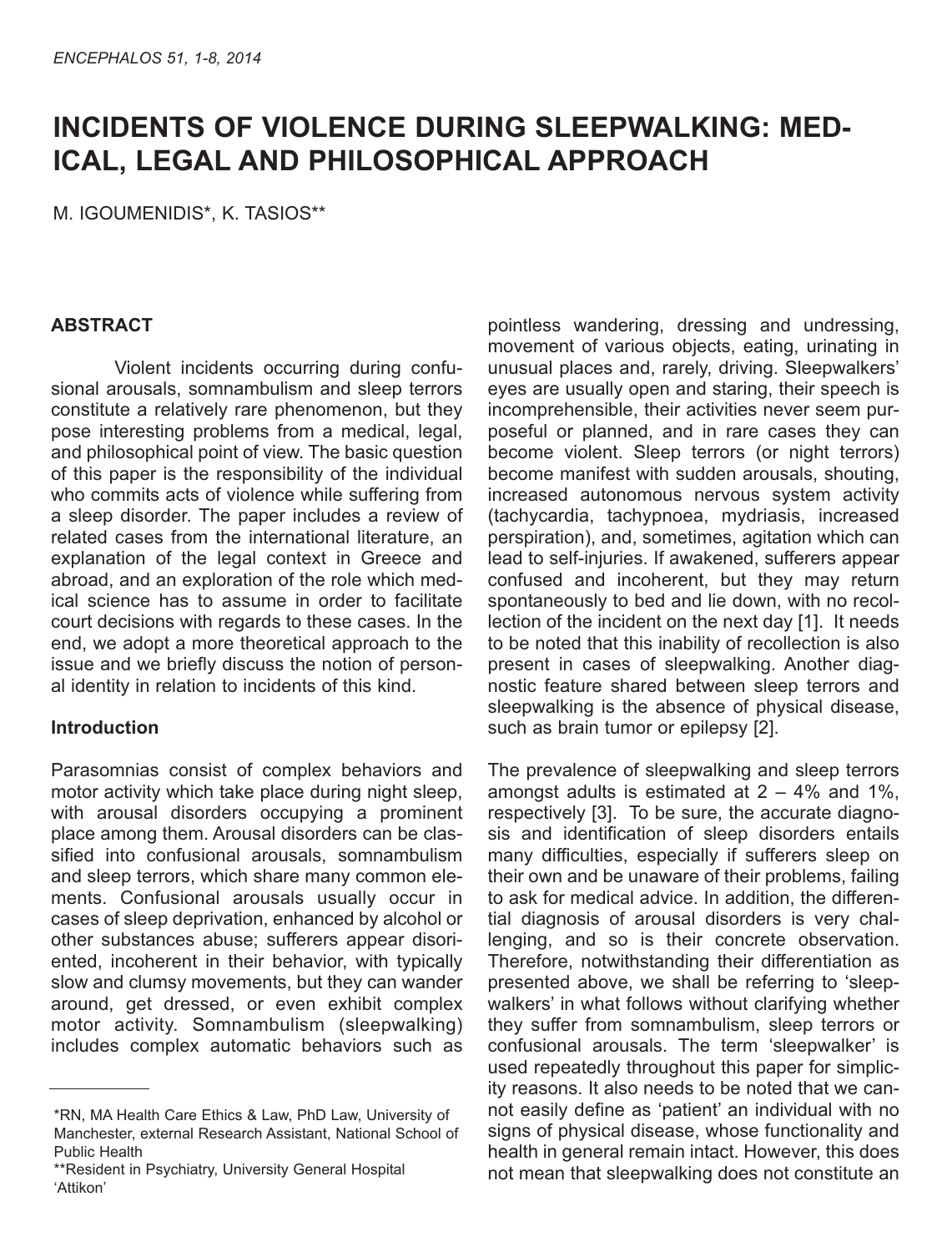# **INCIDENTS OF VIOLENCE DURING SLEEPWALKING: MED-ICAL, LEGAL AND PHILOSOPHICAL APPROACH**

M. IGOUMENIDIS\*, K. tASIOS\*\*

## **ABSTRACT**

Violent incidents occurring during confusional arousals, somnambulism and sleep terrors constitute a relatively rare phenomenon, but they pose interesting problems from a medical, legal, and philosophical point of view. The basic question of this paper is the responsibility of the individual who commits acts of violence while suffering from a sleep disorder. The paper includes a review of related cases from the international literature, an explanation of the legal context in Greece and abroad, and an exploration of the role which medical science has to assume in order to facilitate court decisions with regards to these cases. In the end, we adopt a more theoretical approach to the issue and we briefly discuss the notion of personal identity in relation to incidents of this kind.

### **Introduction**

Parasomnias consist of complex behaviors and motor activity which take place during night sleep, with arousal disorders occupying a prominent place among them. Arousal disorders can be classified into confusional arousals, somnambulism and sleep terrors, which share many common elements. Confusional arousals usually occur in cases of sleep deprivation, enhanced by alcohol or other substances abuse; sufferers appear disoriented, incoherent in their behavior, with typically slow and clumsy movements, but they can wander around, get dressed, or even exhibit complex motor activity. Somnambulism (sleepwalking) includes complex automatic behaviors such as pointless wandering, dressing and undressing, movement of various objects, eating, urinating in unusual places and, rarely, driving. Sleepwalkers' eyes are usually open and staring, their speech is incomprehensible, their activities never seem purposeful or planned, and in rare cases they can become violent. Sleep terrors (or night terrors) become manifest with sudden arousals, shouting, increased autonomous nervous system activity (tachycardia, tachypnoea, mydriasis, increased perspiration), and, sometimes, agitation which can lead to self-injuries. If awakened, sufferers appear confused and incoherent, but they may return spontaneously to bed and lie down, with no recollection of the incident on the next day [1]. It needs to be noted that this inability of recollection is also present in cases of sleepwalking. Another diagnostic feature shared between sleep terrors and sleepwalking is the absence of physical disease, such as brain tumor or epilepsy [2].

The prevalence of sleepwalking and sleep terrors amongst adults is estimated at  $2 - 4\%$  and 1%, respectively [3]. To be sure, the accurate diagnosis and identification of sleep disorders entails many difficulties, especially if sufferers sleep on their own and be unaware of their problems, failing to ask for medical advice. In addition, the differential diagnosis of arousal disorders is very challenging, and so is their concrete observation. Therefore, notwithstanding their differentiation as presented above, we shall be referring to 'sleepwalkers' in what follows without clarifying whether they suffer from somnambulism, sleep terrors or confusional arousals. The term 'sleepwalker' is used repeatedly throughout this paper for simplicity reasons. It also needs to be noted that we cannot easily define as 'patient' an individual with no signs of physical disease, whose functionality and health in general remain intact. However, this does not mean that sleepwalking does not constitute an

<sup>\*</sup>RN, MA Health Care Ethics & Law, PhD Law, University of Manchester, external Research Assistant, National School of Public Health

<sup>\*\*</sup>Resident in Psychiatry, University General Hospital 'Attikon'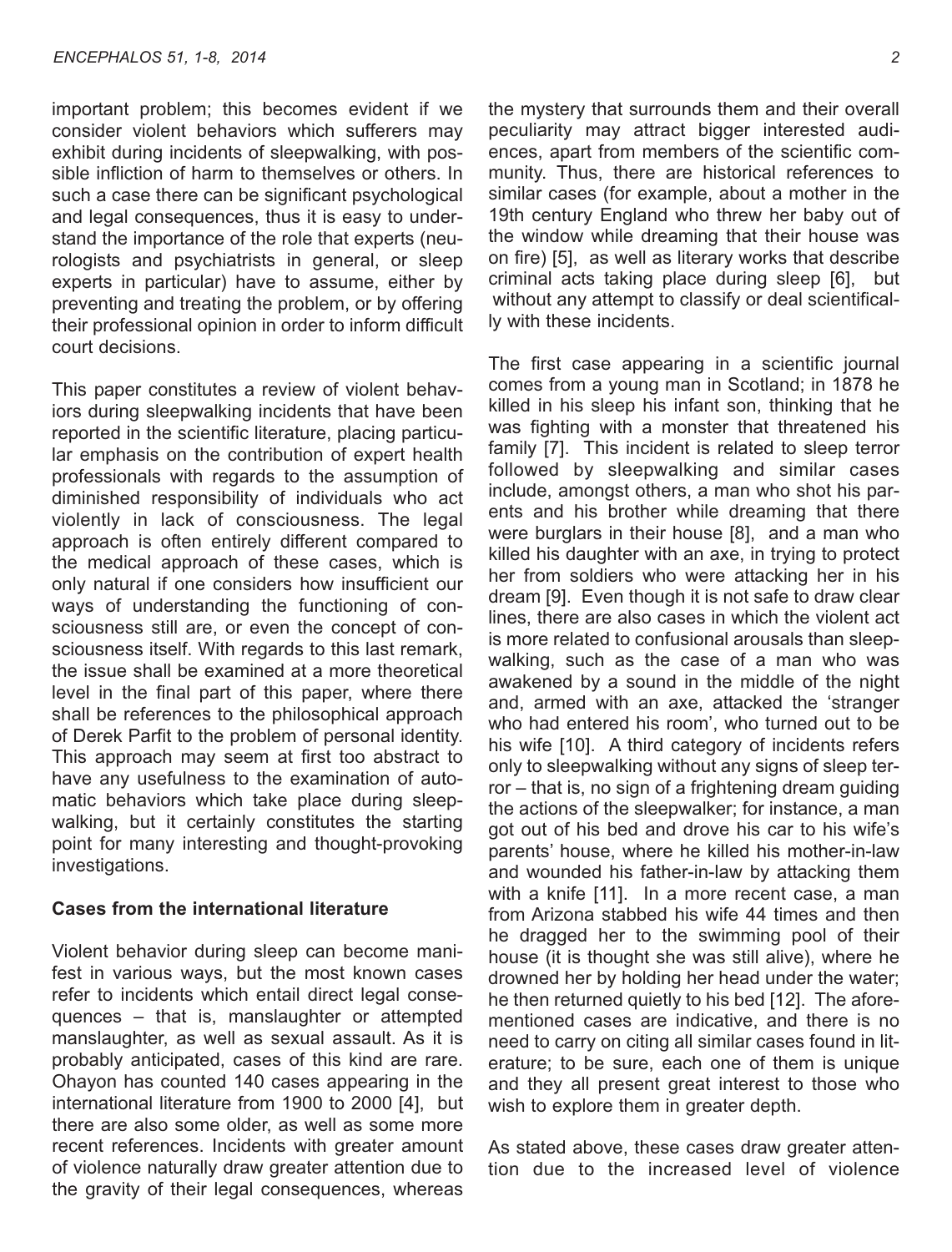important problem; this becomes evident if we consider violent behaviors which sufferers may exhibit during incidents of sleepwalking, with possible infliction of harm to themselves or others. In such a case there can be significant psychological and legal consequences, thus it is easy to understand the importance of the role that experts (neurologists and psychiatrists in general, or sleep experts in particular) have to assume, either by preventing and treating the problem, or by offering their professional opinion in order to inform difficult court decisions.

This paper constitutes a review of violent behaviors during sleepwalking incidents that have been reported in the scientific literature, placing particular emphasis on the contribution of expert health professionals with regards to the assumption of diminished responsibility of individuals who act violently in lack of consciousness. The legal approach is often entirely different compared to the medical approach of these cases, which is only natural if one considers how insufficient our ways of understanding the functioning of consciousness still are, or even the concept of consciousness itself. With regards to this last remark, the issue shall be examined at a more theoretical level in the final part of this paper, where there shall be references to the philosophical approach of Derek Parfit to the problem of personal identity. This approach may seem at first too abstract to have any usefulness to the examination of automatic behaviors which take place during sleepwalking, but it certainly constitutes the starting point for many interesting and thought-provoking investigations.

#### **Cases from the international literature**

Violent behavior during sleep can become manifest in various ways, but the most known cases refer to incidents which entail direct legal consequences – that is, manslaughter or attempted manslaughter, as well as sexual assault. As it is probably anticipated, cases of this kind are rare. Ohayon has counted 140 cases appearing in the international literature from 1900 to 2000 [4], but there are also some older, as well as some more recent references. Incidents with greater amount of violence naturally draw greater attention due to the gravity of their legal consequences, whereas

the mystery that surrounds them and their overall peculiarity may attract bigger interested audiences, apart from members of the scientific community. Thus, there are historical references to similar cases (for example, about a mother in the 19th century England who threw her baby out of the window while dreaming that their house was on fire) [5], as well as literary works that describe criminal acts taking place during sleep [6], but without any attempt to classify or deal scientifically with these incidents.

The first case appearing in a scientific journal comes from a young man in Scotland; in 1878 he killed in his sleep his infant son, thinking that he was fighting with a monster that threatened his family [7]. This incident is related to sleep terror followed by sleepwalking and similar cases include, amongst others, a man who shot his parents and his brother while dreaming that there were burglars in their house [8], and a man who killed his daughter with an axe, in trying to protect her from soldiers who were attacking her in his dream [9]. Even though it is not safe to draw clear lines, there are also cases in which the violent act is more related to confusional arousals than sleepwalking, such as the case of a man who was awakened by a sound in the middle of the night and, armed with an axe, attacked the 'stranger who had entered his room', who turned out to be his wife [10]. A third category of incidents refers only to sleepwalking without any signs of sleep terror – that is, no sign of a frightening dream guiding the actions of the sleepwalker; for instance, a man got out of his bed and drove his car to his wife's parents' house, where he killed his mother-in-law and wounded his father-in-law by attacking them with a knife [11]. In a more recent case, a man from Arizona stabbed his wife 44 times and then he dragged her to the swimming pool of their house (it is thought she was still alive), where he drowned her by holding her head under the water; he then returned quietly to his bed [12]. The aforementioned cases are indicative, and there is no need to carry on citing all similar cases found in literature; to be sure, each one of them is unique and they all present great interest to those who wish to explore them in greater depth.

As stated above, these cases draw greater attention due to the increased level of violence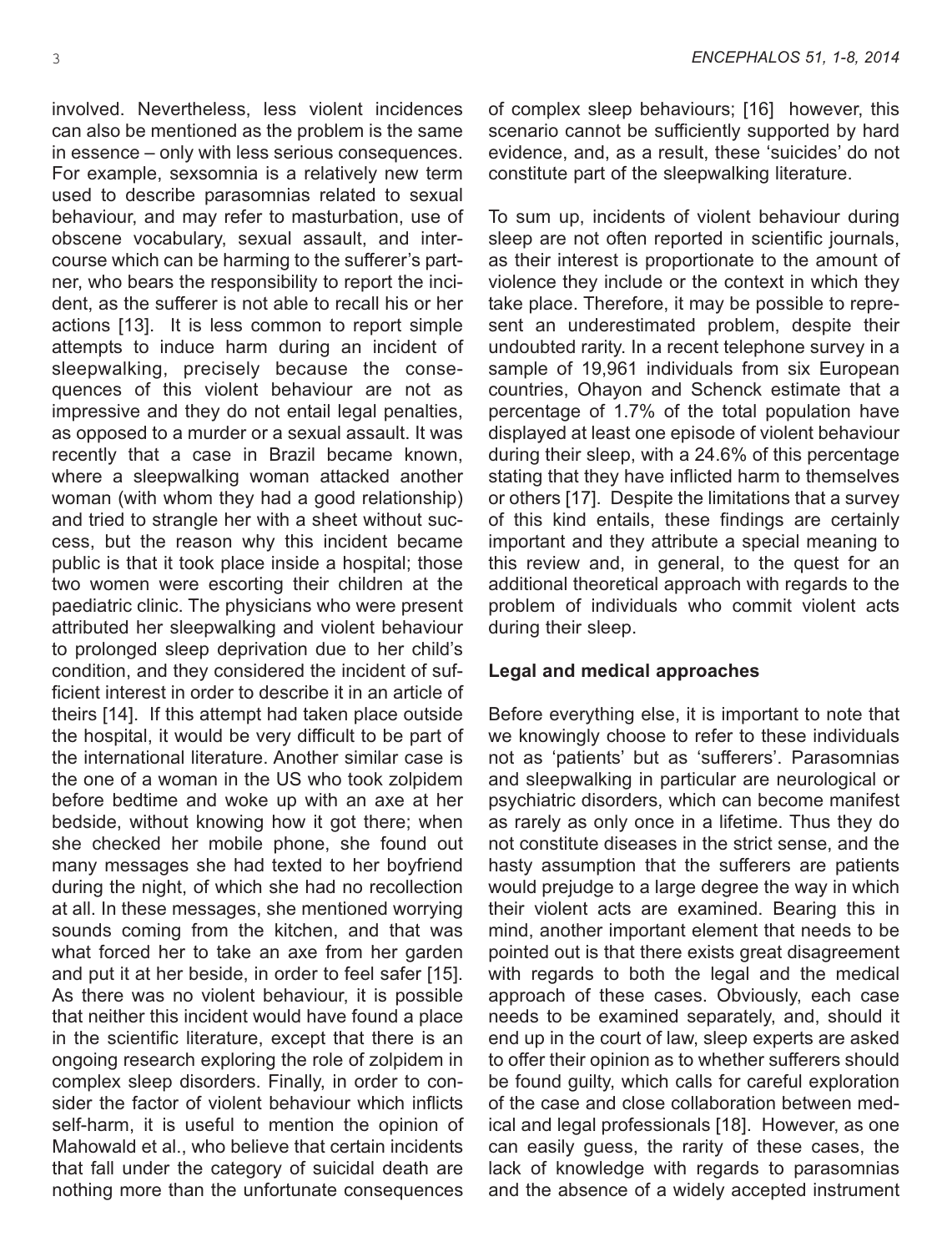involved. Nevertheless, less violent incidences can also be mentioned as the problem is the same in essence – only with less serious consequences. For example, sexsomnia is a relatively new term used to describe parasomnias related to sexual behaviour, and may refer to masturbation, use of obscene vocabulary, sexual assault, and intercourse which can be harming to the sufferer's partner, who bears the responsibility to report the incident, as the sufferer is not able to recall his or her actions [13]. It is less common to report simple attempts to induce harm during an incident of sleepwalking, precisely because the consequences of this violent behaviour are not as impressive and they do not entail legal penalties, as opposed to a murder or a sexual assault. It was recently that a case in Brazil became known, where a sleepwalking woman attacked another woman (with whom they had a good relationship) and tried to strangle her with a sheet without success, but the reason why this incident became public is that it took place inside a hospital; those two women were escorting their children at the paediatric clinic. The physicians who were present attributed her sleepwalking and violent behaviour to prolonged sleep deprivation due to her child's condition, and they considered the incident of sufficient interest in order to describe it in an article of theirs [14]. If this attempt had taken place outside the hospital, it would be very difficult to be part of the international literature. Another similar case is the one of a woman in the US who took zolpidem before bedtime and woke up with an axe at her bedside, without knowing how it got there; when she checked her mobile phone, she found out many messages she had texted to her boyfriend during the night, of which she had no recollection at all. In these messages, she mentioned worrying sounds coming from the kitchen, and that was what forced her to take an axe from her garden and put it at her beside, in order to feel safer [15]. As there was no violent behaviour, it is possible that neither this incident would have found a place in the scientific literature, except that there is an ongoing research exploring the role of zolpidem in complex sleep disorders. Finally, in order to consider the factor of violent behaviour which inflicts self-harm, it is useful to mention the opinion of Mahowald et al., who believe that certain incidents that fall under the category of suicidal death are nothing more than the unfortunate consequences of complex sleep behaviours; [16] however, this scenario cannot be sufficiently supported by hard evidence, and, as a result, these 'suicides' do not constitute part of the sleepwalking literature.

To sum up, incidents of violent behaviour during sleep are not often reported in scientific journals, as their interest is proportionate to the amount of violence they include or the context in which they take place. Therefore, it may be possible to represent an underestimated problem, despite their undoubted rarity. In a recent telephone survey in a sample of 19,961 individuals from six European countries, Ohayon and Schenck estimate that a percentage of 1.7% of the total population have displayed at least one episode of violent behaviour during their sleep, with a 24.6% of this percentage stating that they have inflicted harm to themselves or others [17]. Despite the limitations that a survey of this kind entails, these findings are certainly important and they attribute a special meaning to this review and, in general, to the quest for an additional theoretical approach with regards to the problem of individuals who commit violent acts during their sleep.

### **Legal and medical approaches**

Before everything else, it is important to note that we knowingly choose to refer to these individuals not as 'patients' but as 'sufferers'. Parasomnias and sleepwalking in particular are neurological or psychiatric disorders, which can become manifest as rarely as only once in a lifetime. Thus they do not constitute diseases in the strict sense, and the hasty assumption that the sufferers are patients would prejudge to a large degree the way in which their violent acts are examined. Bearing this in mind, another important element that needs to be pointed out is that there exists great disagreement with regards to both the legal and the medical approach of these cases. Obviously, each case needs to be examined separately, and, should it end up in the court of law, sleep experts are asked to offer their opinion as to whether sufferers should be found guilty, which calls for careful exploration of the case and close collaboration between medical and legal professionals [18]. However, as one can easily guess, the rarity of these cases, the lack of knowledge with regards to parasomnias and the absence of a widely accepted instrument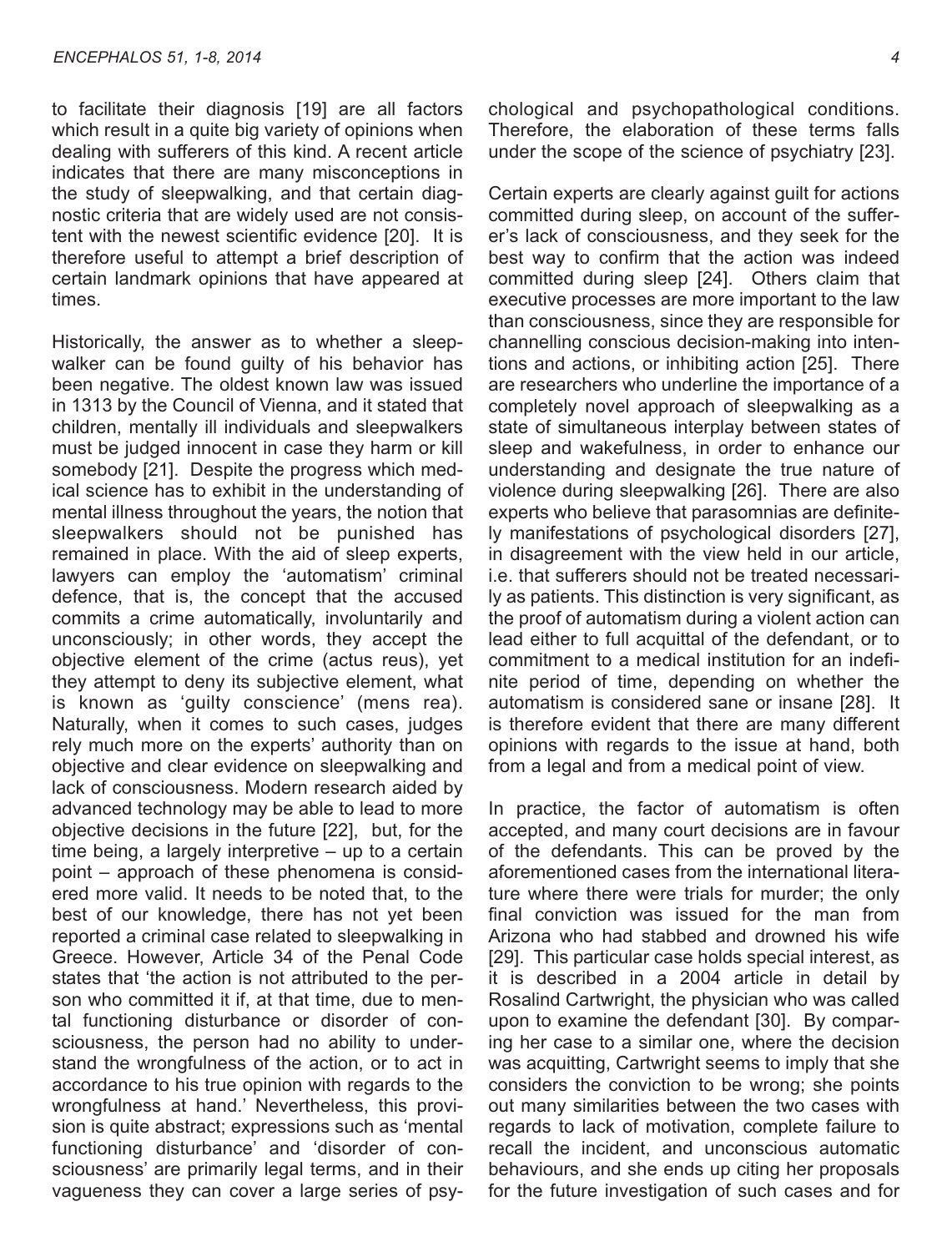to facilitate their diagnosis [19] are all factors which result in a quite big variety of opinions when dealing with sufferers of this kind. A recent article indicates that there are many misconceptions in the study of sleepwalking, and that certain diagnostic criteria that are widely used are not consistent with the newest scientific evidence [20]. It is therefore useful to attempt a brief description of certain landmark opinions that have appeared at times.

Historically, the answer as to whether a sleepwalker can be found guilty of his behavior has been negative. The oldest known law was issued in 1313 by the Council of Vienna, and it stated that children, mentally ill individuals and sleepwalkers must be judged innocent in case they harm or kill somebody [21]. Despite the progress which medical science has to exhibit in the understanding of mental illness throughout the years, the notion that sleepwalkers should not be punished has remained in place. With the aid of sleep experts, lawyers can employ the 'automatism' criminal defence, that is, the concept that the accused commits a crime automatically, involuntarily and unconsciously; in other words, they accept the objective element of the crime (actus reus), yet they attempt to deny its subjective element, what is known as 'guilty conscience' (mens rea). Naturally, when it comes to such cases, judges rely much more on the experts' authority than on objective and clear evidence on sleepwalking and lack of consciousness. Modern research aided by advanced technology may be able to lead to more objective decisions in the future [22], but, for the time being, a largely interpretive – up to a certain point – approach of these phenomena is considered more valid. It needs to be noted that, to the best of our knowledge, there has not yet been reported a criminal case related to sleepwalking in Greece. However, Article 34 of the Penal Code states that 'the action is not attributed to the person who committed it if, at that time, due to mental functioning disturbance or disorder of consciousness, the person had no ability to understand the wrongfulness of the action, or to act in accordance to his true opinion with regards to the wrongfulness at hand.' Nevertheless, this provision is quite abstract; expressions such as 'mental functioning disturbance' and 'disorder of consciousness' are primarily legal terms, and in their vagueness they can cover a large series of psychological and psychopathological conditions. Therefore, the elaboration of these terms falls under the scope of the science of psychiatry [23].

Certain experts are clearly against guilt for actions committed during sleep, on account of the sufferer's lack of consciousness, and they seek for the best way to confirm that the action was indeed committed during sleep [24]. Others claim that executive processes are more important to the law than consciousness, since they are responsible for channelling conscious decision-making into intentions and actions, or inhibiting action [25]. There are researchers who underline the importance of a completely novel approach of sleepwalking as a state of simultaneous interplay between states of sleep and wakefulness, in order to enhance our understanding and designate the true nature of violence during sleepwalking [26]. There are also experts who believe that parasomnias are definitely manifestations of psychological disorders [27], in disagreement with the view held in our article, i.e. that sufferers should not be treated necessarily as patients. This distinction is very significant, as the proof of automatism during a violent action can lead either to full acquittal of the defendant, or to commitment to a medical institution for an indefinite period of time, depending on whether the automatism is considered sane or insane [28]. It is therefore evident that there are many different opinions with regards to the issue at hand, both from a legal and from a medical point of view.

In practice, the factor of automatism is often accepted, and many court decisions are in favour of the defendants. This can be proved by the aforementioned cases from the international literature where there were trials for murder; the only final conviction was issued for the man from Arizona who had stabbed and drowned his wife [29]. This particular case holds special interest, as it is described in a 2004 article in detail by Rosalind Cartwright, the physician who was called upon to examine the defendant [30]. By comparing her case to a similar one, where the decision was acquitting, Cartwright seems to imply that she considers the conviction to be wrong; she points out many similarities between the two cases with regards to lack of motivation, complete failure to recall the incident, and unconscious automatic behaviours, and she ends up citing her proposals for the future investigation of such cases and for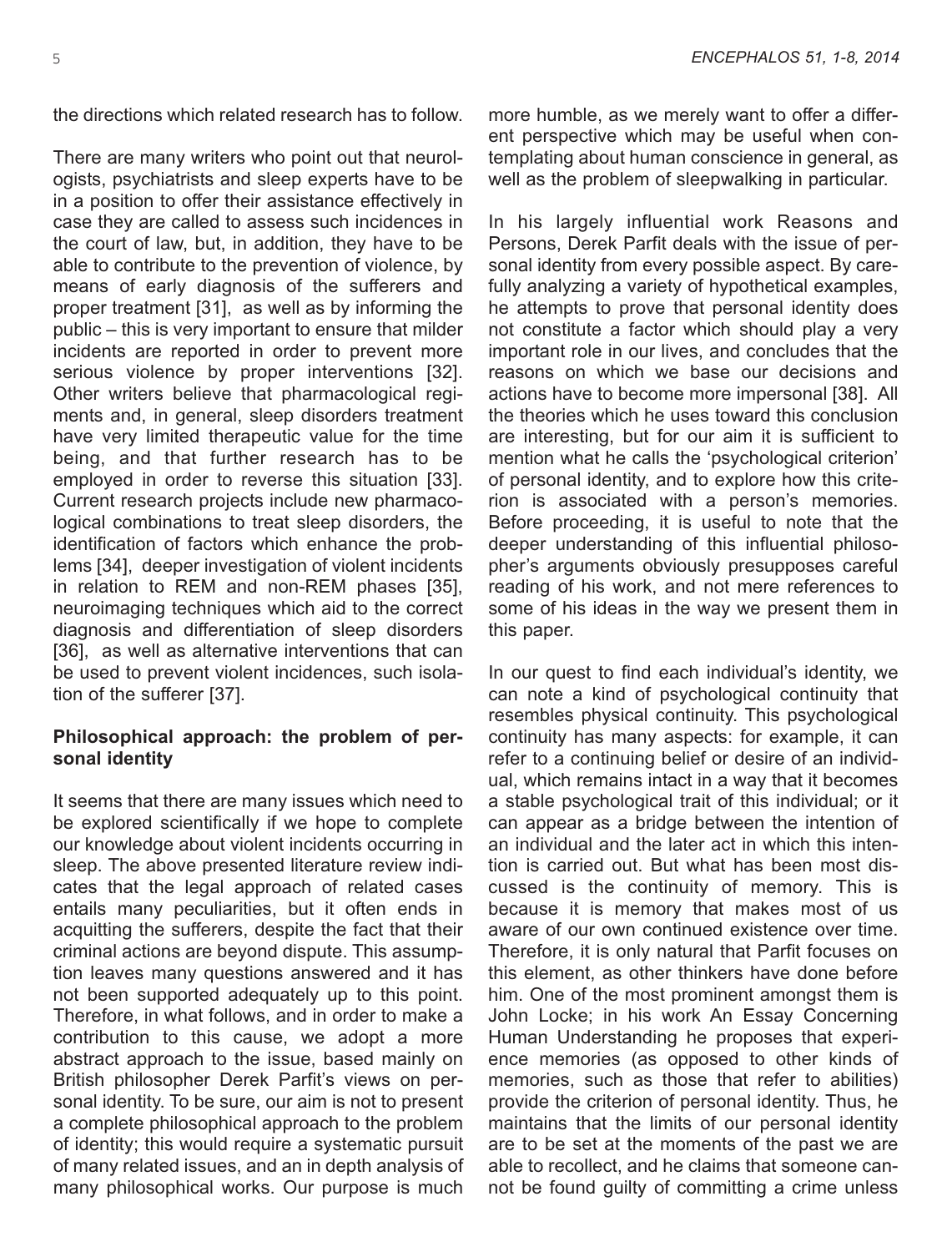the directions which related research has to follow.

There are many writers who point out that neurologists, psychiatrists and sleep experts have to be in a position to offer their assistance effectively in case they are called to assess such incidences in the court of law, but, in addition, they have to be able to contribute to the prevention of violence, by means of early diagnosis of the sufferers and proper treatment [31], as well as by informing the public – this is very important to ensure that milder incidents are reported in order to prevent more serious violence by proper interventions [32]. Other writers believe that pharmacological regiments and, in general, sleep disorders treatment have very limited therapeutic value for the time being, and that further research has to be employed in order to reverse this situation [33]. Current research projects include new pharmacological combinations to treat sleep disorders, the identification of factors which enhance the problems [34], deeper investigation of violent incidents in relation to REM and non-REM phases [35], neuroimaging techniques which aid to the correct diagnosis and differentiation of sleep disorders [36], as well as alternative interventions that can be used to prevent violent incidences, such isolation of the sufferer [37].

#### **Philosophical approach: the problem of personal identity**

It seems that there are many issues which need to be explored scientifically if we hope to complete our knowledge about violent incidents occurring in sleep. The above presented literature review indicates that the legal approach of related cases entails many peculiarities, but it often ends in acquitting the sufferers, despite the fact that their criminal actions are beyond dispute. This assumption leaves many questions answered and it has not been supported adequately up to this point. Therefore, in what follows, and in order to make a contribution to this cause, we adopt a more abstract approach to the issue, based mainly on British philosopher Derek Parfit's views on personal identity. To be sure, our aim is not to present a complete philosophical approach to the problem of identity; this would require a systematic pursuit of many related issues, and an in depth analysis of many philosophical works. Our purpose is much

more humble, as we merely want to offer a different perspective which may be useful when contemplating about human conscience in general, as well as the problem of sleepwalking in particular.

In his largely influential work Reasons and Persons, Derek Parfit deals with the issue of personal identity from every possible aspect. By carefully analyzing a variety of hypothetical examples, he attempts to prove that personal identity does not constitute a factor which should play a very important role in our lives, and concludes that the reasons on which we base our decisions and actions have to become more impersonal [38]. All the theories which he uses toward this conclusion are interesting, but for our aim it is sufficient to mention what he calls the 'psychological criterion' of personal identity, and to explore how this criterion is associated with a person's memories. Before proceeding, it is useful to note that the deeper understanding of this influential philosopher's arguments obviously presupposes careful reading of his work, and not mere references to some of his ideas in the way we present them in this paper.

In our quest to find each individual's identity, we can note a kind of psychological continuity that resembles physical continuity. This psychological continuity has many aspects: for example, it can refer to a continuing belief or desire of an individual, which remains intact in a way that it becomes a stable psychological trait of this individual; or it can appear as a bridge between the intention of an individual and the later act in which this intention is carried out. But what has been most discussed is the continuity of memory. This is because it is memory that makes most of us aware of our own continued existence over time. Therefore, it is only natural that Parfit focuses on this element, as other thinkers have done before him. One of the most prominent amongst them is John Locke; in his work An Essay Concerning Human Understanding he proposes that experience memories (as opposed to other kinds of memories, such as those that refer to abilities) provide the criterion of personal identity. Thus, he maintains that the limits of our personal identity are to be set at the moments of the past we are able to recollect, and he claims that someone cannot be found guilty of committing a crime unless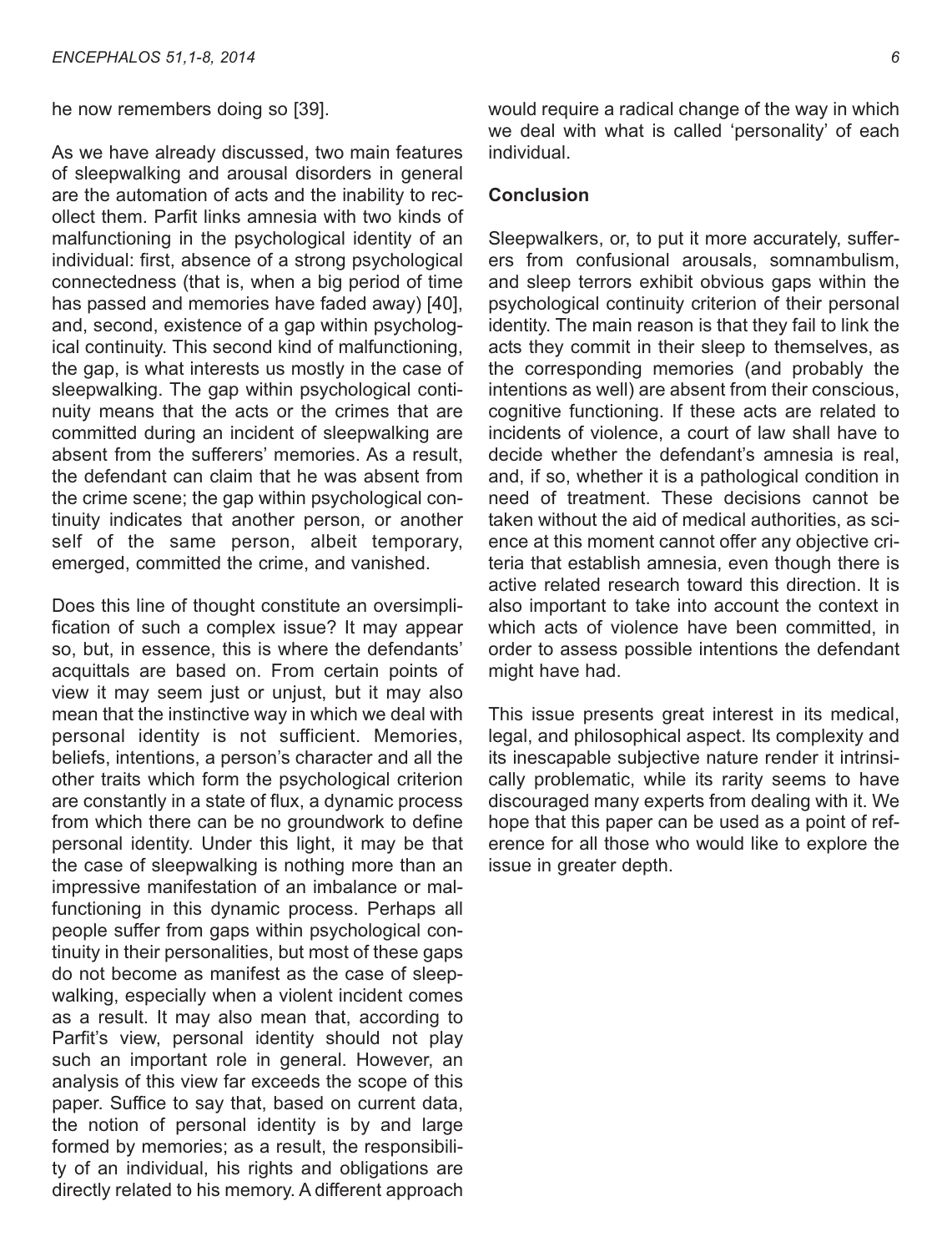he now remembers doing so [39].

As we have already discussed, two main features of sleepwalking and arousal disorders in general are the automation of acts and the inability to recollect them. Parfit links amnesia with two kinds of malfunctioning in the psychological identity of an individual: first, absence of a strong psychological connectedness (that is, when a big period of time has passed and memories have faded away) [40], and, second, existence of a gap within psychological continuity. This second kind of malfunctioning, the gap, is what interests us mostly in the case of sleepwalking. The gap within psychological continuity means that the acts or the crimes that are committed during an incident of sleepwalking are absent from the sufferers' memories. As a result, the defendant can claim that he was absent from the crime scene; the gap within psychological continuity indicates that another person, or another self of the same person, albeit temporary, emerged, committed the crime, and vanished.

Does this line of thought constitute an oversimplification of such a complex issue? It may appear so, but, in essence, this is where the defendants' acquittals are based on. From certain points of view it may seem just or unjust, but it may also mean that the instinctive way in which we deal with personal identity is not sufficient. Memories, beliefs, intentions, a person's character and all the other traits which form the psychological criterion are constantly in a state of flux, a dynamic process from which there can be no groundwork to define personal identity. Under this light, it may be that the case of sleepwalking is nothing more than an impressive manifestation of an imbalance or malfunctioning in this dynamic process. Perhaps all people suffer from gaps within psychological continuity in their personalities, but most of these gaps do not become as manifest as the case of sleepwalking, especially when a violent incident comes as a result. It may also mean that, according to Parfit's view, personal identity should not play such an important role in general. However, an analysis of this view far exceeds the scope of this paper. Suffice to say that, based on current data, the notion of personal identity is by and large formed by memories; as a result, the responsibility of an individual, his rights and obligations are directly related to his memory. A different approach

would require a radical change of the way in which we deal with what is called 'personality' of each individual.

#### **Conclusion**

Sleepwalkers, or, to put it more accurately, sufferers from confusional arousals, somnambulism, and sleep terrors exhibit obvious gaps within the psychological continuity criterion of their personal identity. The main reason is that they fail to link the acts they commit in their sleep to themselves, as the corresponding memories (and probably the intentions as well) are absent from their conscious, cognitive functioning. If these acts are related to incidents of violence, a court of law shall have to decide whether the defendant's amnesia is real, and, if so, whether it is a pathological condition in need of treatment. These decisions cannot be taken without the aid of medical authorities, as science at this moment cannot offer any objective criteria that establish amnesia, even though there is active related research toward this direction. It is also important to take into account the context in which acts of violence have been committed, in order to assess possible intentions the defendant might have had.

This issue presents great interest in its medical, legal, and philosophical aspect. Its complexity and its inescapable subjective nature render it intrinsically problematic, while its rarity seems to have discouraged many experts from dealing with it. We hope that this paper can be used as a point of reference for all those who would like to explore the issue in greater depth.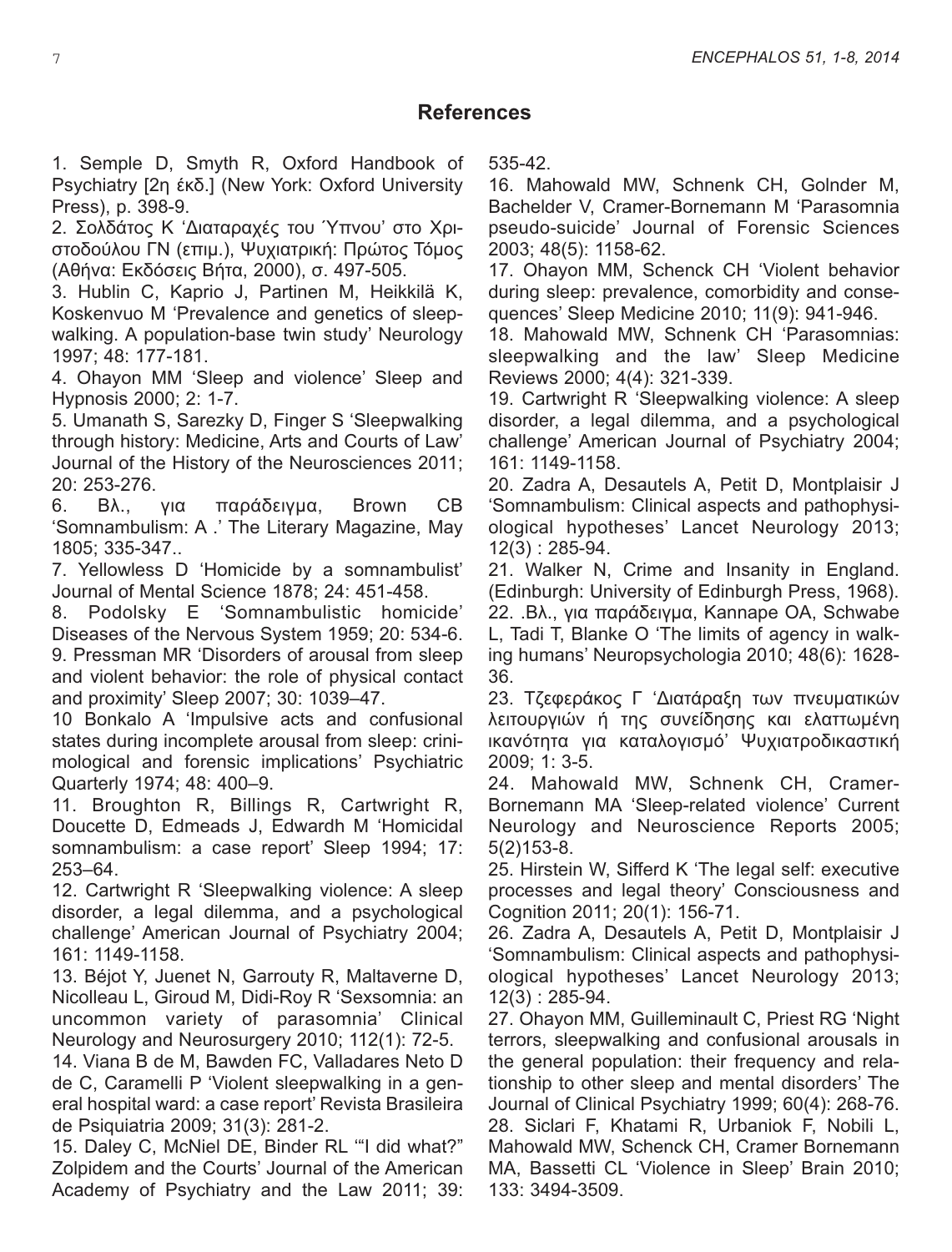# **References**

1. Semple D, Smyth R, Oxford Handbook of Psychiatry [2η έκδ.] (New York: Oxford University Press), p. 398-9.

2. Σολδάτος Κ 'Διαταραχές του Ύπνου' στο Χριστοδούλου ΓΝ (επιμ.), Ψυχιατρική: Πρώτος Τόμος (Αθήνα: Εκδόσεις Βήτα, 2000), σ. 497-505.

3. Hublin C, Kaprio J, Partinen M, Heikkilä K, Koskenvuo M 'Prevalence and genetics of sleepwalking. A population-base twin study' Neurology 1997; 48: 177-181.

4. Ohayon MM 'Sleep and violence' Sleep and Hypnosis 2000; 2: 1-7.

5. Umanath S, Sarezky D, Finger S 'Sleepwalking through history: Medicine, Arts and Courts of Law' Journal of the History of the Neurosciences 2011; 20: 253-276.

6. Βλ., για παράδειγμα, Brown CB 'Somnambulism: A .' The Literary Magazine, May 1805; 335-347..

7. Yellowless D 'Homicide by a somnambulist' Journal of Mental Science 1878; 24: 451-458.

8. Podolsky E 'Somnambulistic homicide' Diseases of the Nervous System 1959; 20: 534-6. 9. Pressman MR 'Disorders of arousal from sleep and violent behavior: the role of physical contact and proximity' Sleep 2007; 30: 1039–47.

10 Bonkalo A 'Impulsive acts and confusional states during incomplete arousal from sleep: crinimological and forensic implications' Psychiatric Quarterly 1974; 48: 400–9.

11. Broughton R, Billings R, Cartwright R, Doucette D, Edmeads J, Edwardh M 'Homicidal somnambulism: a case report' Sleep 1994; 17: 253–64.

12. Cartwright R 'Sleepwalking violence: A sleep disorder, a legal dilemma, and a psychological challenge' American Journal of Psychiatry 2004; 161: 1149-1158.

13. Béjot Y, Juenet N, Garrouty R, Maltaverne D, Nicolleau L, Giroud M, Didi-Roy R 'Sexsomnia: an uncommon variety of parasomnia' Clinical Neurology and Neurosurgery 2010; 112(1): 72-5.

14. Viana B de M, Bawden FC, Valladares Neto D de C, Caramelli P 'Violent sleepwalking in a general hospital ward: a case report' Revista Brasileira de Psiquiatria 2009; 31(3): 281-2.

15. Daley C, McNiel DE, Binder RL '"I did what?" Zolpidem and the Courts' Journal of the American Academy of Psychiatry and the Law 2011; 39:

535-42.

16. Mahowald MW, Schnenk CH, Golnder M, Bachelder V, Cramer-Bornemann M 'Parasomnia pseudo-suicide' Journal of Forensic Sciences 2003; 48(5): 1158-62.

17. Ohayon MM, Schenck CH 'Violent behavior during sleep: prevalence, comorbidity and consequences' Sleep Medicine 2010; 11(9): 941-946.

18. Mahowald MW, Schnenk CH 'Parasomnias: sleepwalking and the law' Sleep Medicine Reviews 2000; 4(4): 321-339.

19. Cartwright R 'Sleepwalking violence: A sleep disorder, a legal dilemma, and a psychological challenge' American Journal of Psychiatry 2004; 161: 1149-1158.

20. Zadra A, Desautels A, Petit D, Montplaisir J 'Somnambulism: Clinical aspects and pathophysiological hypotheses' Lancet Neurology 2013; 12(3) : 285-94.

21. Walker N, Crime and Insanity in England. (Edinburgh: University of Edinburgh Press, 1968). 22. .Βλ., για παράδειγμα, Kannape OA, Schwabe L, Tadi T, Blanke O 'The limits of agency in walking humans' Neuropsychologia 2010; 48(6): 1628- 36.

23. Τζεφεράκος Γ 'Διατάραξη των πνευματικών λειτουργιών ή της συνείδησης και ελαττωμένη ικανότητα για καταλογισμό' Ψυχιατροδικαστική 2009; 1: 3-5.

24. Mahowald MW, Schnenk CH, Cramer-Bornemann MA 'Sleep-related violence' Current Neurology and Neuroscience Reports 2005; 5(2)153-8.

25. Hirstein W, Sifferd K 'The legal self: executive processes and legal theory' Consciousness and Cognition 2011; 20(1): 156-71.

26. Zadra A, Desautels A, Petit D, Montplaisir J 'Somnambulism: Clinical aspects and pathophysiological hypotheses' Lancet Neurology 2013; 12(3) : 285-94.

27. Ohayon MM, Guilleminault C, Priest RG 'Night terrors, sleepwalking and confusional arousals in the general population: their frequency and relationship to other sleep and mental disorders' The Journal of Clinical Psychiatry 1999; 60(4): 268-76. 28. Siclari F, Khatami R, Urbaniok F, Nobili L, Mahowald MW, Schenck CH, Cramer Bornemann MA, Bassetti CL 'Violence in Sleep' Brain 2010; 133: 3494-3509.